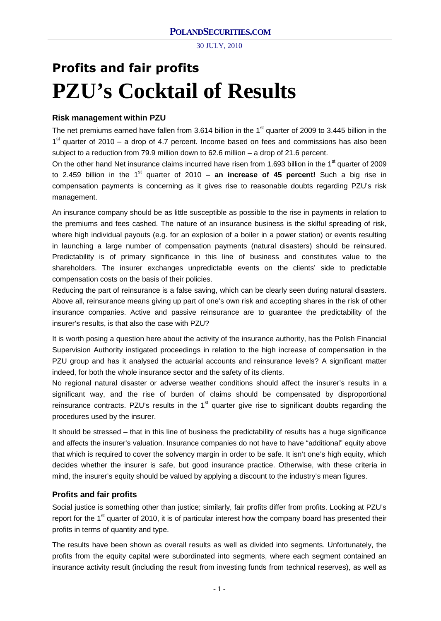# **Profits and fair profits PZU's Cocktail of Results**

## **Risk management within PZU**

The net premiums earned have fallen from 3.614 billion in the 1<sup>st</sup> quarter of 2009 to 3.445 billion in the 1<sup>st</sup> quarter of 2010 – a drop of 4.7 percent. Income based on fees and commissions has also been subject to a reduction from 79.9 million down to 62.6 million – a drop of 21.6 percent.

On the other hand Net insurance claims incurred have risen from 1.693 billion in the  $1<sup>st</sup>$  quarter of 2009 to 2.459 billion in the 1<sup>st</sup> quarter of 2010 – **an increase of 45 percent!** Such a big rise in compensation payments is concerning as it gives rise to reasonable doubts regarding PZU's risk management.

An insurance company should be as little susceptible as possible to the rise in payments in relation to the premiums and fees cashed. The nature of an insurance business is the skilful spreading of risk, where high individual payouts (e.g. for an explosion of a boiler in a power station) or events resulting in launching a large number of compensation payments (natural disasters) should be reinsured. Predictability is of primary significance in this line of business and constitutes value to the shareholders. The insurer exchanges unpredictable events on the clients' side to predictable compensation costs on the basis of their policies.

Reducing the part of reinsurance is a false saving, which can be clearly seen during natural disasters. Above all, reinsurance means giving up part of one's own risk and accepting shares in the risk of other insurance companies. Active and passive reinsurance are to guarantee the predictability of the insurer's results, is that also the case with PZU?

It is worth posing a question here about the activity of the insurance authority, has the Polish Financial Supervision Authority instigated proceedings in relation to the high increase of compensation in the PZU group and has it analysed the actuarial accounts and reinsurance levels? A significant matter indeed, for both the whole insurance sector and the safety of its clients.

No regional natural disaster or adverse weather conditions should affect the insurer's results in a significant way, and the rise of burden of claims should be compensated by disproportional reinsurance contracts. PZU's results in the  $1<sup>st</sup>$  quarter give rise to significant doubts regarding the procedures used by the insurer.

It should be stressed – that in this line of business the predictability of results has a huge significance and affects the insurer's valuation. Insurance companies do not have to have "additional" equity above that which is required to cover the solvency margin in order to be safe. It isn't one's high equity, which decides whether the insurer is safe, but good insurance practice. Otherwise, with these criteria in mind, the insurer's equity should be valued by applying a discount to the industry's mean figures.

### **Profits and fair profits**

Social justice is something other than justice; similarly, fair profits differ from profits. Looking at PZU's report for the  $1<sup>st</sup>$  quarter of 2010, it is of particular interest how the company board has presented their profits in terms of quantity and type.

The results have been shown as overall results as well as divided into segments. Unfortunately, the profits from the equity capital were subordinated into segments, where each segment contained an insurance activity result (including the result from investing funds from technical reserves), as well as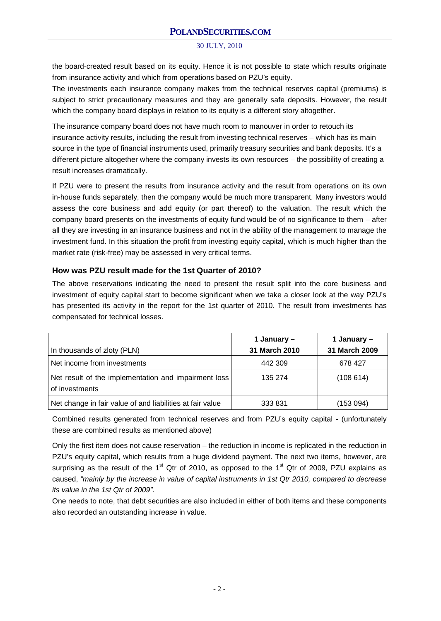the board-created result based on its equity. Hence it is not possible to state which results originate from insurance activity and which from operations based on PZU's equity.

The investments each insurance company makes from the technical reserves capital (premiums) is subject to strict precautionary measures and they are generally safe deposits. However, the result which the company board displays in relation to its equity is a different story altogether.

The insurance company board does not have much room to manouver in order to retouch its insurance activity results, including the result from investing technical reserves – which has its main source in the type of financial instruments used, primarily treasury securities and bank deposits. It's a different picture altogether where the company invests its own resources – the possibility of creating a result increases dramatically.

If PZU were to present the results from insurance activity and the result from operations on its own in-house funds separately, then the company would be much more transparent. Many investors would assess the core business and add equity (or part thereof) to the valuation. The result which the company board presents on the investments of equity fund would be of no significance to them – after all they are investing in an insurance business and not in the ability of the management to manage the investment fund. In this situation the profit from investing equity capital, which is much higher than the market rate (risk-free) may be assessed in very critical terms.

### **How was PZU result made for the 1st Quarter of 2010?**

The above reservations indicating the need to present the result split into the core business and investment of equity capital start to become significant when we take a closer look at the way PZU's has presented its activity in the report for the 1st quarter of 2010. The result from investments has compensated for technical losses.

|                                                                        | 1 January –   | 1 January –   |
|------------------------------------------------------------------------|---------------|---------------|
| In thousands of zloty (PLN)                                            | 31 March 2010 | 31 March 2009 |
| Net income from investments                                            | 442 309       | 678 427       |
| Net result of the implementation and impairment loss<br>of investments | 135 274       | (108614)      |
| Net change in fair value of and liabilities at fair value              | 333 831       | (153094)      |

Combined results generated from technical reserves and from PZU's equity capital - (unfortunately these are combined results as mentioned above)

Only the first item does not cause reservation – the reduction in income is replicated in the reduction in PZU's equity capital, which results from a huge dividend payment. The next two items, however, are surprising as the result of the  $1<sup>st</sup>$  Qtr of 2010, as opposed to the  $1<sup>st</sup>$  Qtr of 2009, PZU explains as caused, *"mainly by the increase in value of capital instruments in 1st Qtr 2010, compared to decrease its value in the 1st Qtr of 2009"*.

One needs to note, that debt securities are also included in either of both items and these components also recorded an outstanding increase in value.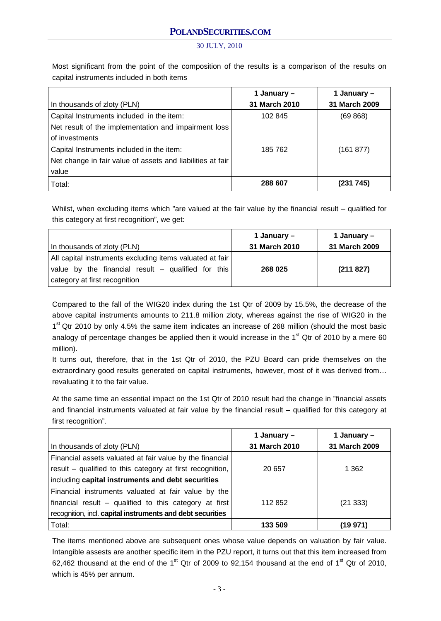Most significant from the point of the composition of the results is a comparison of the results on capital instruments included in both items

|                                                            | 1 January –   | 1 January –   |
|------------------------------------------------------------|---------------|---------------|
| In thousands of zloty (PLN)                                | 31 March 2010 | 31 March 2009 |
| Capital Instruments included in the item:                  | 102 845       | (69 868)      |
| Net result of the implementation and impairment loss       |               |               |
| of investments                                             |               |               |
| Capital Instruments included in the item:                  | 185 762       | (161 877)     |
| Net change in fair value of assets and liabilities at fair |               |               |
| value                                                      |               |               |
| Total:                                                     | 288 607       | (231 745)     |

Whilst, when excluding items which "are valued at the fair value by the financial result – qualified for this category at first recognition", we get:

| In thousands of zloty (PLN)                                                                                                                     | 1 January –<br>31 March 2010 | 1 January –<br>31 March 2009 |
|-------------------------------------------------------------------------------------------------------------------------------------------------|------------------------------|------------------------------|
| All capital instruments excluding items valuated at fair<br>value by the financial result - qualified for this<br>category at first recognition | 268 025                      | (211827)                     |

Compared to the fall of the WIG20 index during the 1st Qtr of 2009 by 15.5%, the decrease of the above capital instruments amounts to 211.8 million zloty, whereas against the rise of WIG20 in the 1<sup>st</sup> Qtr 2010 by only 4.5% the same item indicates an increase of 268 million (should the most basic analogy of percentage changes be applied then it would increase in the  $1<sup>st</sup>$  Qtr of 2010 by a mere 60 million).

It turns out, therefore, that in the 1st Qtr of 2010, the PZU Board can pride themselves on the extraordinary good results generated on capital instruments, however, most of it was derived from… revaluating it to the fair value.

At the same time an essential impact on the 1st Qtr of 2010 result had the change in "financial assets and financial instruments valuated at fair value by the financial result – qualified for this category at first recognition".

|                                                            | 1 January -   | 1 January –   |
|------------------------------------------------------------|---------------|---------------|
| In thousands of zloty (PLN)                                | 31 March 2010 | 31 March 2009 |
| Financial assets valuated at fair value by the financial   |               |               |
| result – qualified to this category at first recognition,  | 20 657        | 1 3 6 2       |
| including capital instruments and debt securities          |               |               |
| Financial instruments valuated at fair value by the        |               |               |
| financial result $-$ qualified to this category at first   | 112852        | (21333)       |
| recognition, incl. capital instruments and debt securities |               |               |
| Total:                                                     | 133 509       | (19 971)      |

The items mentioned above are subsequent ones whose value depends on valuation by fair value. Intangible assests are another specific item in the PZU report, it turns out that this item increased from 62,462 thousand at the end of the  $1<sup>st</sup>$  Qtr of 2009 to 92,154 thousand at the end of  $1<sup>st</sup>$  Qtr of 2010, which is 45% per annum.